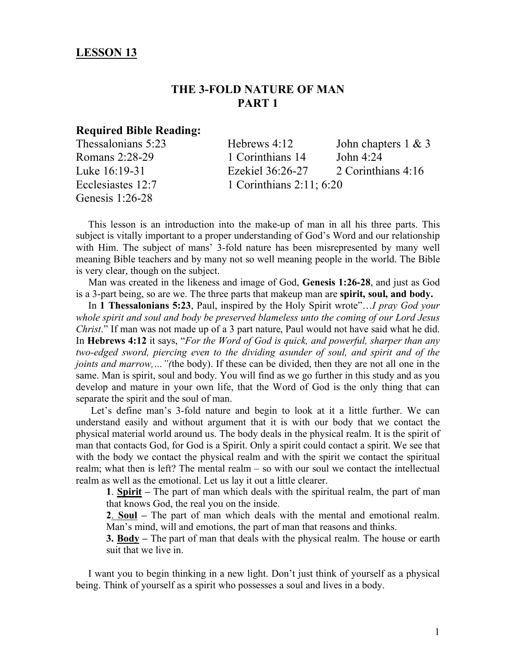## **LESSON 13**

# **THE 3-FOLD NATURE OF MAN PART 1**

## **Required Bible Reading:**

| Thessalonians 5:23 | Hebrews $4:12$                | John chapters $1 \& 3$ |
|--------------------|-------------------------------|------------------------|
| Romans 2:28-29     | 1 Corinthians 14              | John $4:24$            |
| Luke 16:19-31      | Ezekiel 36:26-27              | 2 Corinthians 4:16     |
| Ecclesiastes 12:7  | 1 Corinthians $2:11$ ; $6:20$ |                        |
| Genesis $1:26-28$  |                               |                        |

 This lesson is an introduction into the make-up of man in all his three parts. This subject is vitally important to a proper understanding of God's Word and our relationship with Him. The subject of mans' 3-fold nature has been misrepresented by many well meaning Bible teachers and by many not so well meaning people in the world. The Bible is very clear, though on the subject.

 Man was created in the likeness and image of God, **Genesis 1:26-28**, and just as God is a 3-part being, so are we. The three parts that makeup man are **spirit, soul, and body.**

 In **1 Thessalonians 5:23**, Paul, inspired by the Holy Spirit wrote"…*I pray God your whole spirit and soul and body be preserved blameless unto the coming of our Lord Jesus Christ*." If man was not made up of a 3 part nature, Paul would not have said what he did. In **Hebrews 4:12** it says, "*For the Word of God is quick, and powerful, sharper than any two-edged sword, piercing even to the dividing asunder of soul, and spirit and of the joints and marrow,…"(*the body). If these can be divided, then they are not all one in the same. Man is spirit, soul and body. You will find as we go further in this study and as you develop and mature in your own life, that the Word of God is the only thing that can separate the spirit and the soul of man.

 Let's define man's 3-fold nature and begin to look at it a little further. We can understand easily and without argument that it is with our body that we contact the physical material world around us. The body deals in the physical realm. It is the spirit of man that contacts God, for God is a Spirit. Only a spirit could contact a spirit. We see that with the body we contact the physical realm and with the spirit we contact the spiritual realm; what then is left? The mental realm – so with our soul we contact the intellectual realm as well as the emotional. Let us lay it out a little clearer.

**1**. **Spirit –** The part of man which deals with the spiritual realm, the part of man that knows God, the real you on the inside.

**2**. **Soul –** The part of man which deals with the mental and emotional realm. Man's mind, will and emotions, the part of man that reasons and thinks.

**3. Body –** The part of man that deals with the physical realm. The house or earth suit that we live in.

 I want you to begin thinking in a new light. Don't just think of yourself as a physical being. Think of yourself as a spirit who possesses a soul and lives in a body.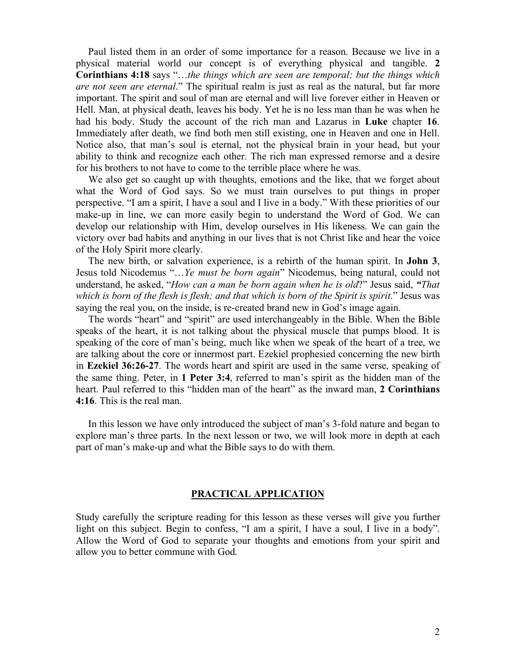Paul listed them in an order of some importance for a reason. Because we live in a physical material world our concept is of everything physical and tangible. **2 Corinthians 4:18** says "…*the things which are seen are temporal; but the things which are not seen are eternal*." The spiritual realm is just as real as the natural, but far more important. The spirit and soul of man are eternal and will live forever either in Heaven or Hell. Man, at physical death, leaves his body. Yet he is no less man than he was when he had his body. Study the account of the rich man and Lazarus in **Luke** chapter **16**. Immediately after death, we find both men still existing, one in Heaven and one in Hell. Notice also, that man's soul is eternal, not the physical brain in your head, but your ability to think and recognize each other. The rich man expressed remorse and a desire for his brothers to not have to come to the terrible place where he was.

 We also get so caught up with thoughts, emotions and the like, that we forget about what the Word of God says. So we must train ourselves to put things in proper perspective. "I am a spirit, I have a soul and I live in a body." With these priorities of our make-up in line, we can more easily begin to understand the Word of God. We can develop our relationship with Him, develop ourselves in His likeness. We can gain the victory over bad habits and anything in our lives that is not Christ like and hear the voice of the Holy Spirit more clearly.

 The new birth, or salvation experience, is a rebirth of the human spirit. In **John 3**, Jesus told Nicodemus "…*Ye must be born again*" Nicodemus, being natural, could not understand, he asked, "*How can a man be born again when he is old*?" Jesus said, *"That*  which is born of the flesh is flesh; and that which is born of the Spirit is spirit." Jesus was saying the real you, on the inside, is re-created brand new in God's image again.

 The words "heart" and "spirit" are used interchangeably in the Bible. When the Bible speaks of the heart, it is not talking about the physical muscle that pumps blood. It is speaking of the core of man's being, much like when we speak of the heart of a tree, we are talking about the core or innermost part. Ezekiel prophesied concerning the new birth in **Ezekiel 36:26-27**. The words heart and spirit are used in the same verse, speaking of the same thing. Peter, in **1 Peter 3:4**, referred to man's spirit as the hidden man of the heart. Paul referred to this "hidden man of the heart" as the inward man, **2 Corinthians 4:16**. This is the real man.

 In this lesson we have only introduced the subject of man's 3-fold nature and began to explore man's three parts. In the next lesson or two, we will look more in depth at each part of man's make-up and what the Bible says to do with them.

#### **PRACTICAL APPLICATION**

Study carefully the scripture reading for this lesson as these verses will give you further light on this subject. Begin to confess, "I am a spirit, I have a soul, I live in a body". Allow the Word of God to separate your thoughts and emotions from your spirit and allow you to better commune with God.